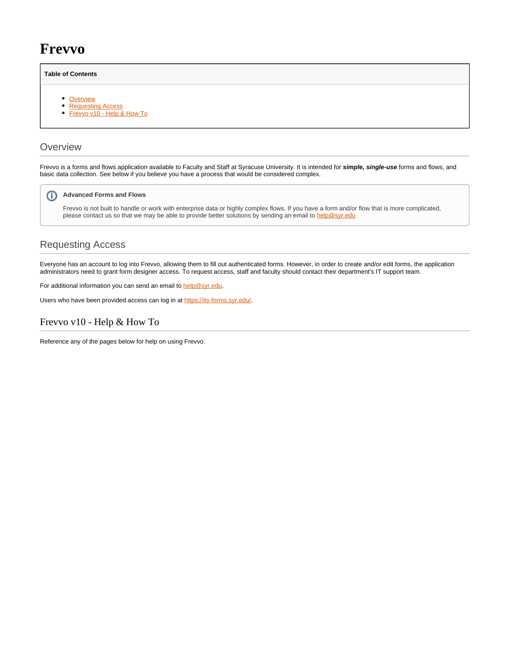# **Frevvo**

### **Table of Contents**

- [Overview](#page-0-0)
- [Requesting Access](#page-0-1)
- [Frevvo v10 Help & How To](#page-0-2)

## <span id="page-0-0"></span>**Overview**

Frevvo is a forms and flows application available to Faculty and Staff at Syracuse University. It is intended for **simple, single-use** forms and flows, and basic data collection. See below if you believe you have a process that would be considered complex.

#### ന **Advanced Forms and Flows**

Frevvo is not built to handle or work with enterprise data or highly complex flows. If you have a form and/or flow that is more complicated, please contact us so that we may be able to provide better solutions by sending an email to [help@syr.edu](mailto:help@syr.edu)

# <span id="page-0-1"></span>Requesting Access

Everyone has an account to log into Frevvo, allowing them to fill out authenticated forms. However, in order to create and/or edit forms, the application administrators need to grant form designer access. To request access, staff and faculty should contact their department's IT support team.

For additional information you can send an email to [help@syr.edu.](mailto:help@syr.edu)

Users who have been provided access can log in at<https://its-forms.syr.edu/>.

## <span id="page-0-2"></span>Frevvo v10 - Help & How To

Reference any of the pages below for help on using Frevvo.